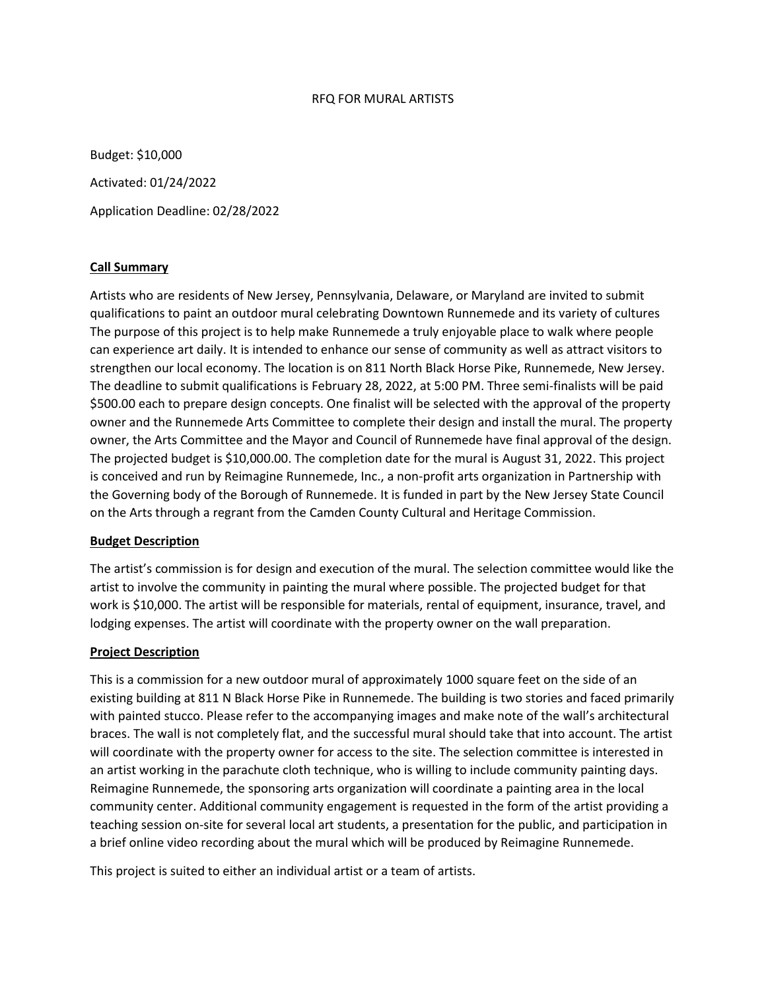#### RFQ FOR MURAL ARTISTS

Budget: \$10,000

Activated: 01/24/2022

Application Deadline: 02/28/2022

### **Call Summary**

Artists who are residents of New Jersey, Pennsylvania, Delaware, or Maryland are invited to submit qualifications to paint an outdoor mural celebrating Downtown Runnemede and its variety of cultures The purpose of this project is to help make Runnemede a truly enjoyable place to walk where people can experience art daily. It is intended to enhance our sense of community as well as attract visitors to strengthen our local economy. The location is on 811 North Black Horse Pike, Runnemede, New Jersey. The deadline to submit qualifications is February 28, 2022, at 5:00 PM. Three semi-finalists will be paid \$500.00 each to prepare design concepts. One finalist will be selected with the approval of the property owner and the Runnemede Arts Committee to complete their design and install the mural. The property owner, the Arts Committee and the Mayor and Council of Runnemede have final approval of the design. The projected budget is \$10,000.00. The completion date for the mural is August 31, 2022. This project is conceived and run by Reimagine Runnemede, Inc., a non-profit arts organization in Partnership with the Governing body of the Borough of Runnemede. It is funded in part by the New Jersey State Council on the Arts through a regrant from the Camden County Cultural and Heritage Commission.

#### **Budget Description**

The artist's commission is for design and execution of the mural. The selection committee would like the artist to involve the community in painting the mural where possible. The projected budget for that work is \$10,000. The artist will be responsible for materials, rental of equipment, insurance, travel, and lodging expenses. The artist will coordinate with the property owner on the wall preparation.

#### **Project Description**

This is a commission for a new outdoor mural of approximately 1000 square feet on the side of an existing building at 811 N Black Horse Pike in Runnemede. The building is two stories and faced primarily with painted stucco. Please refer to the accompanying images and make note of the wall's architectural braces. The wall is not completely flat, and the successful mural should take that into account. The artist will coordinate with the property owner for access to the site. The selection committee is interested in an artist working in the parachute cloth technique, who is willing to include community painting days. Reimagine Runnemede, the sponsoring arts organization will coordinate a painting area in the local community center. Additional community engagement is requested in the form of the artist providing a teaching session on-site for several local art students, a presentation for the public, and participation in a brief online video recording about the mural which will be produced by Reimagine Runnemede.

This project is suited to either an individual artist or a team of artists.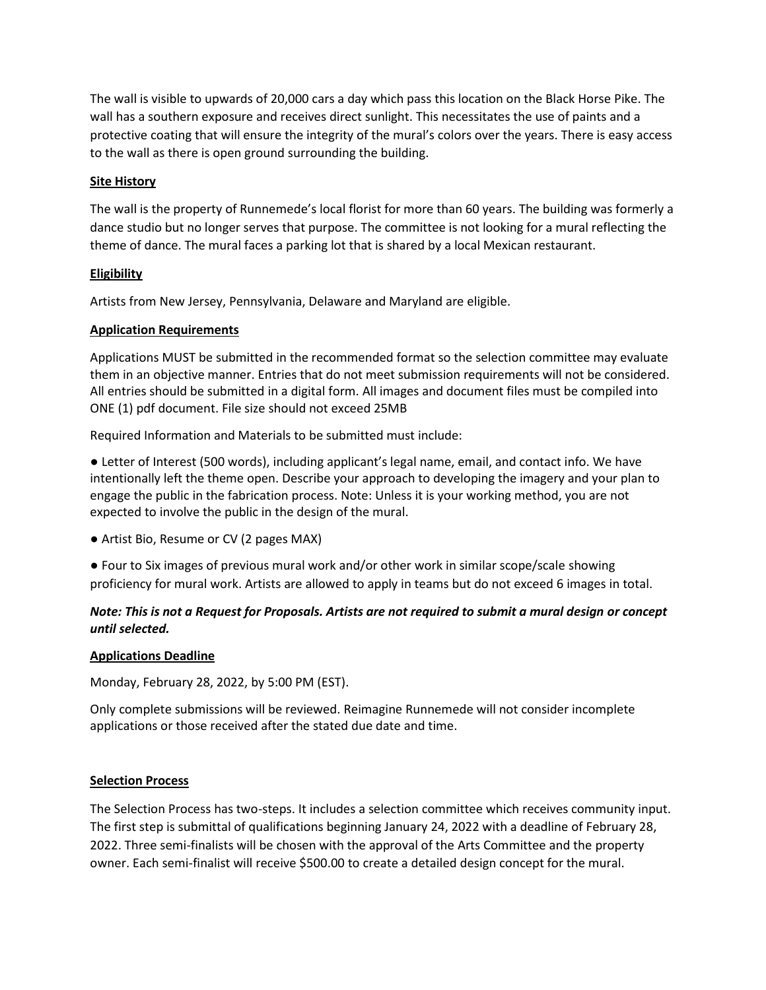The wall is visible to upwards of 20,000 cars a day which pass this location on the Black Horse Pike. The wall has a southern exposure and receives direct sunlight. This necessitates the use of paints and a protective coating that will ensure the integrity of the mural's colors over the years. There is easy access to the wall as there is open ground surrounding the building.

### **Site History**

The wall is the property of Runnemede's local florist for more than 60 years. The building was formerly a dance studio but no longer serves that purpose. The committee is not looking for a mural reflecting the theme of dance. The mural faces a parking lot that is shared by a local Mexican restaurant.

## **Eligibility**

Artists from New Jersey, Pennsylvania, Delaware and Maryland are eligible.

## **Application Requirements**

Applications MUST be submitted in the recommended format so the selection committee may evaluate them in an objective manner. Entries that do not meet submission requirements will not be considered. All entries should be submitted in a digital form. All images and document files must be compiled into ONE (1) pdf document. File size should not exceed 25MB

Required Information and Materials to be submitted must include:

● Letter of Interest (500 words), including applicant's legal name, email, and contact info. We have intentionally left the theme open. Describe your approach to developing the imagery and your plan to engage the public in the fabrication process. Note: Unless it is your working method, you are not expected to involve the public in the design of the mural.

● Artist Bio, Resume or CV (2 pages MAX)

● Four to Six images of previous mural work and/or other work in similar scope/scale showing proficiency for mural work. Artists are allowed to apply in teams but do not exceed 6 images in total.

# *Note: This is not a Request for Proposals. Artists are not required to submit a mural design or concept until selected.*

# **Applications Deadline**

Monday, February 28, 2022, by 5:00 PM (EST).

Only complete submissions will be reviewed. Reimagine Runnemede will not consider incomplete applications or those received after the stated due date and time.

# **Selection Process**

The Selection Process has two-steps. It includes a selection committee which receives community input. The first step is submittal of qualifications beginning January 24, 2022 with a deadline of February 28, 2022. Three semi-finalists will be chosen with the approval of the Arts Committee and the property owner. Each semi-finalist will receive \$500.00 to create a detailed design concept for the mural.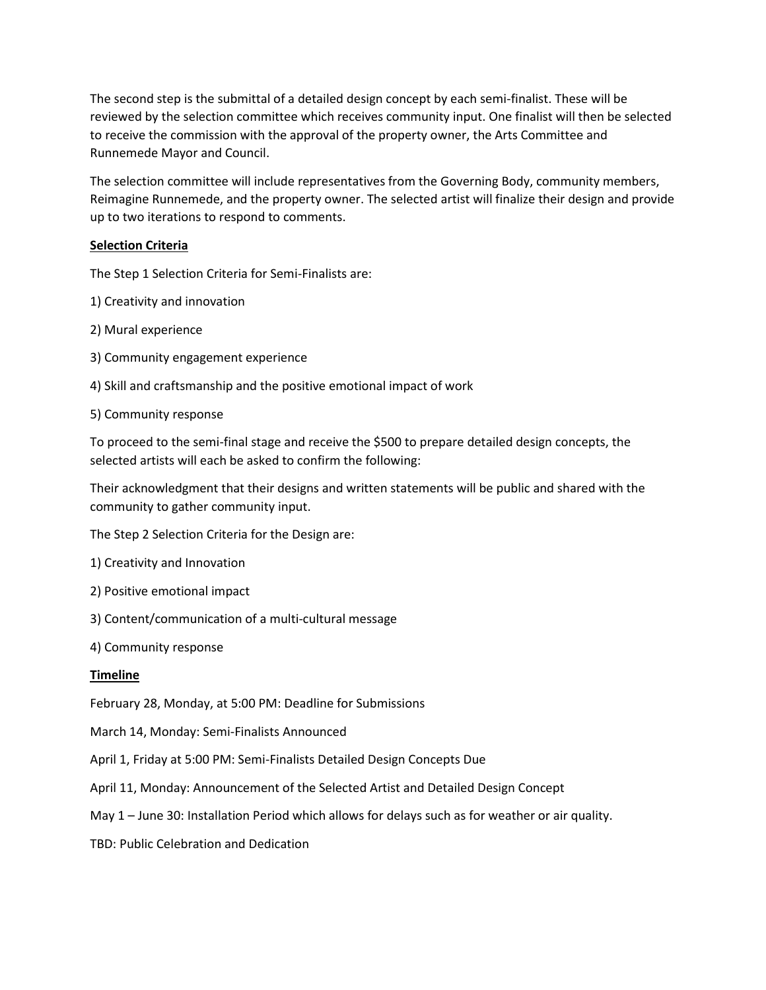The second step is the submittal of a detailed design concept by each semi-finalist. These will be reviewed by the selection committee which receives community input. One finalist will then be selected to receive the commission with the approval of the property owner, the Arts Committee and Runnemede Mayor and Council.

The selection committee will include representatives from the Governing Body, community members, Reimagine Runnemede, and the property owner. The selected artist will finalize their design and provide up to two iterations to respond to comments.

### **Selection Criteria**

The Step 1 Selection Criteria for Semi-Finalists are:

- 1) Creativity and innovation
- 2) Mural experience
- 3) Community engagement experience
- 4) Skill and craftsmanship and the positive emotional impact of work
- 5) Community response

To proceed to the semi-final stage and receive the \$500 to prepare detailed design concepts, the selected artists will each be asked to confirm the following:

Their acknowledgment that their designs and written statements will be public and shared with the community to gather community input.

The Step 2 Selection Criteria for the Design are:

- 1) Creativity and Innovation
- 2) Positive emotional impact
- 3) Content/communication of a multi-cultural message
- 4) Community response

#### **Timeline**

February 28, Monday, at 5:00 PM: Deadline for Submissions

March 14, Monday: Semi-Finalists Announced

April 1, Friday at 5:00 PM: Semi-Finalists Detailed Design Concepts Due

- April 11, Monday: Announcement of the Selected Artist and Detailed Design Concept
- May 1 June 30: Installation Period which allows for delays such as for weather or air quality.
- TBD: Public Celebration and Dedication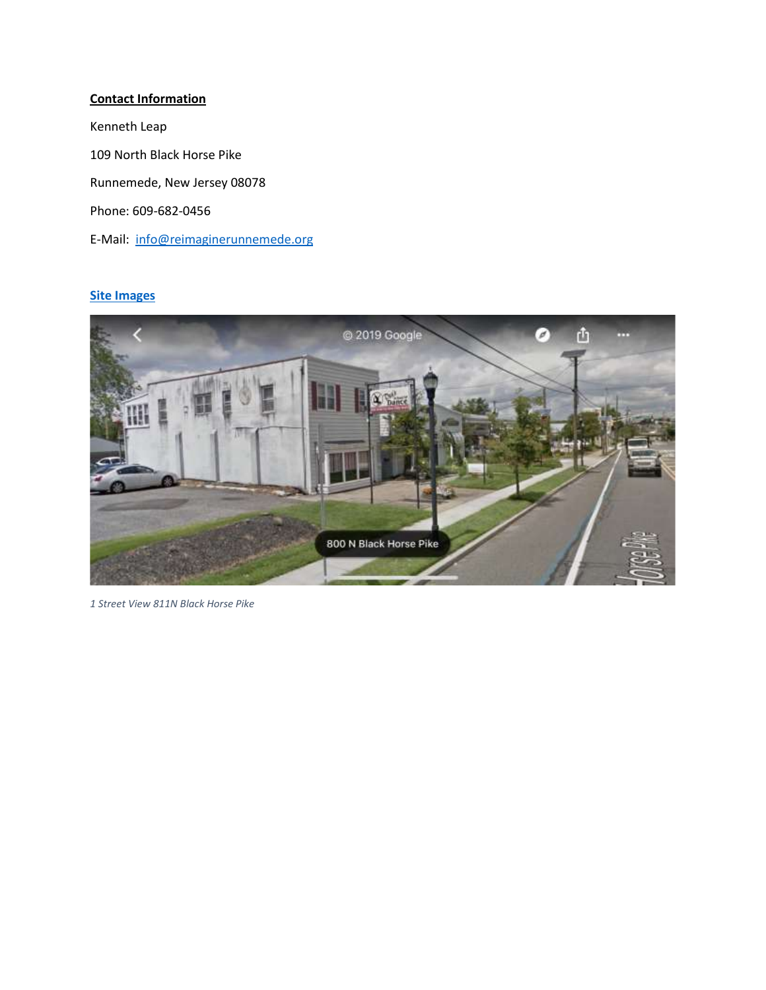# **Contact Information**

Kenneth Leap 109 North Black Horse Pike Runnemede, New Jersey 08078 Phone: 609-682-0456 E-Mail: [info@reimaginerunnemede.org](mailto:info@reimaginerunnemede.org)

## **Site Images**



*1 Street View 811N Black Horse Pike*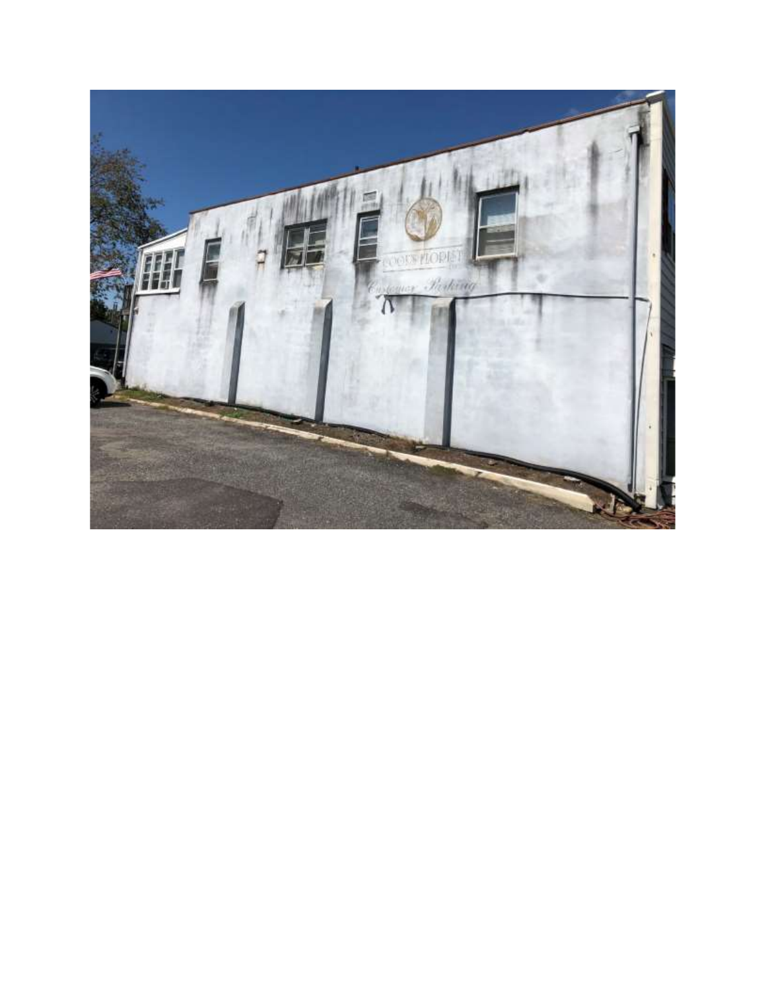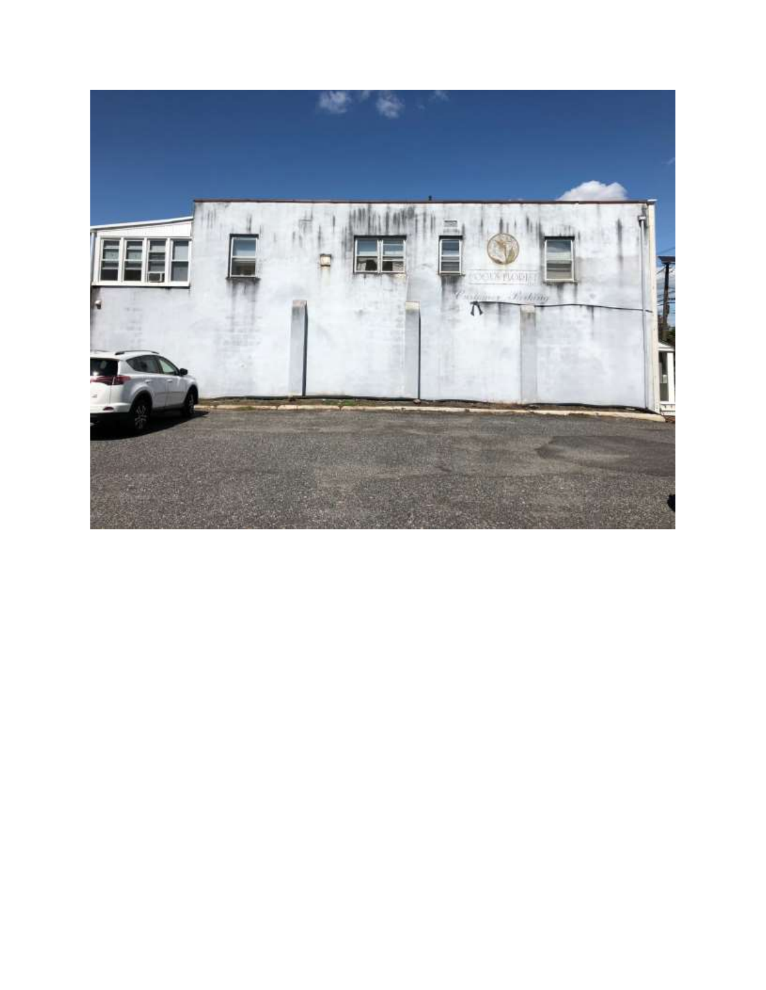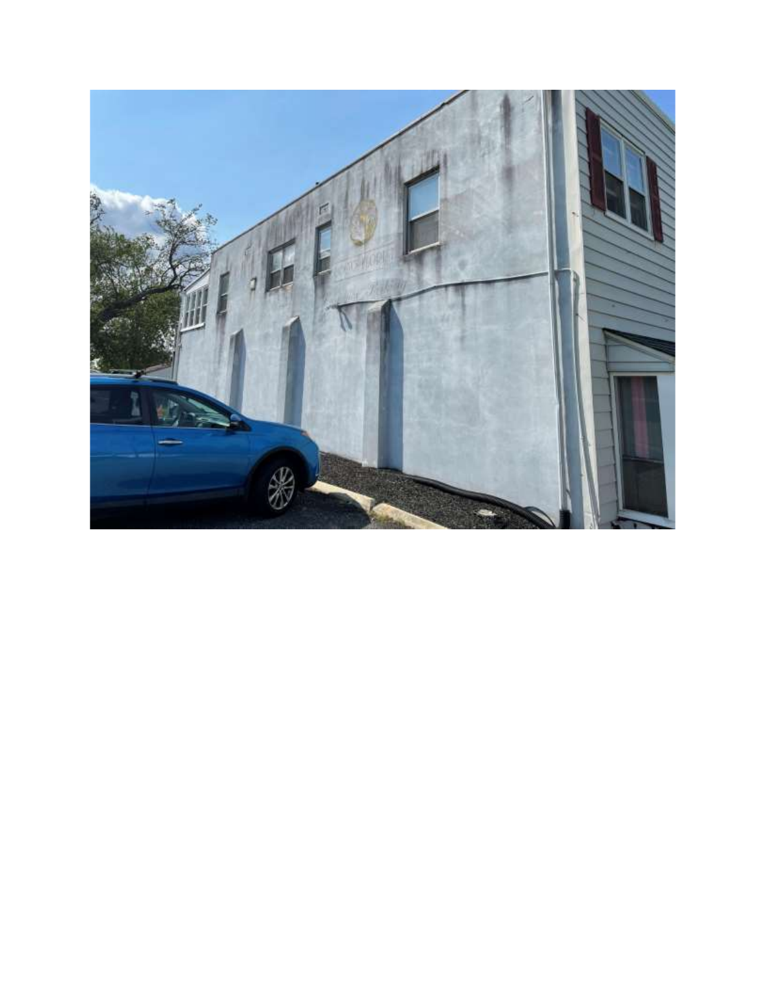